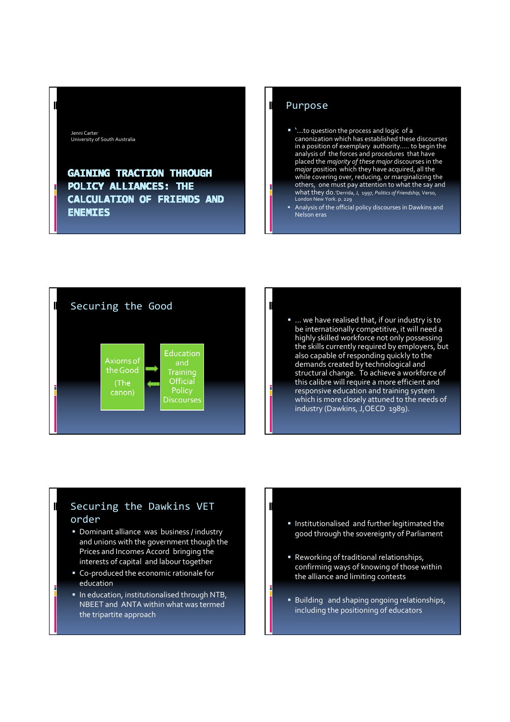Jenni Carter University of South Australia

 $\blacksquare$ 

 $\blacksquare$ 

# **GAINING TRACTION THROUGH** POLICY ALLIANCES: THE CALCULATION OF FRIENDS AND **ENEMIES**

## Purpose

- '...to question the process and logic of a canonization which has established these discourses in a position of exemplary authority….. to begin the analysis of the forces and procedures that have placed the majority of these major discourses in the major position which they have acquired, all the while covering over, reducing, or marginalizing the others, one must pay attention to what the say and what they do.'Derrida, J, 1997, Politics of Friendship, Verso, London New York. p. 229
- Analysis of the official policy discourses in Dawkins and Nelson eras



■ ... we have realised that, if our industry is to be internationally competitive, it will need a highly skilled workforce not only possessing the skills currently required by employers, but also capable of responding quickly to the demands created by technological and structural change. To achieve a workforce of this calibre will require a more efficient and responsive education and training system which is more closely attuned to the needs of industry (Dawkins, J,OECD 1989).

# Securing the Dawkins VET order

- **Dominant alliance was business / industry** and unions with the government though the Prices and Incomes Accord bringing the interests of capital and labour together
- Co-produced the economic rationale for education
- **In education, institutionalised through NTB,** NBEET and ANTA within what was termed the tripartite approach
- **Institutionalised and further legitimated the** good through the sovereignty of Parliament
- Reworking of traditional relationships, confirming ways of knowing of those within the alliance and limiting contests
- **Building and shaping ongoing relationships,** including the positioning of educators